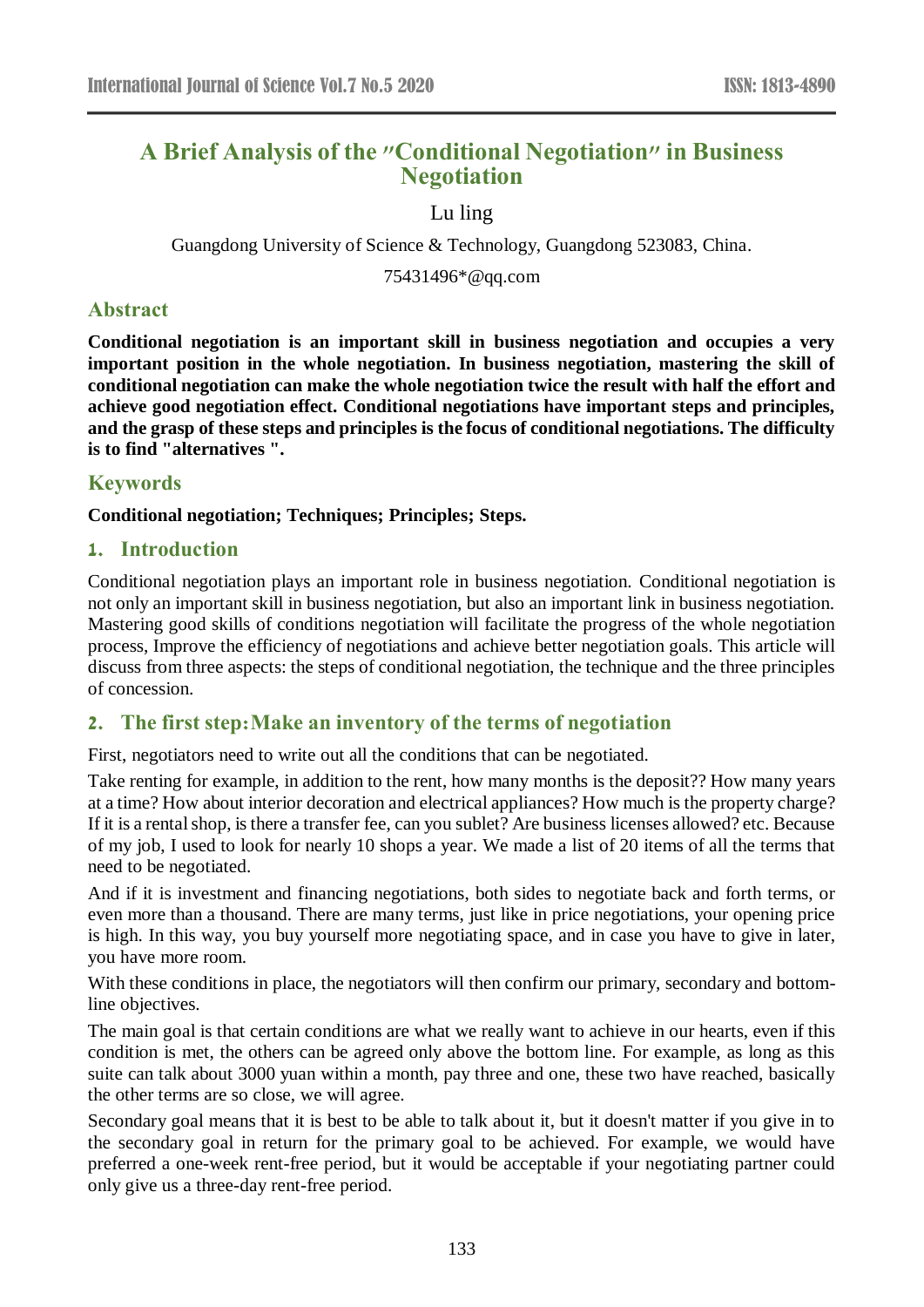# **A Brief Analysis of the "Conditional Negotiation" in Business Negotiation**

Lu ling

Guangdong University of Science & Technology, Guangdong 523083, China.

75431496\*@qq.com

# **Abstract**

**Conditional negotiation is an important skill in business negotiation and occupies a very important position in the whole negotiation. In business negotiation, mastering the skill of conditional negotiation can make the whole negotiation twice the result with half the effort and achieve good negotiation effect. Conditional negotiations have important steps and principles, and the grasp of these steps and principles is the focus of conditional negotiations. The difficulty is to find "alternatives ".**

## **Keywords**

#### **Conditional negotiation; Techniques; Principles; Steps.**

### **1. Introduction**

Conditional negotiation plays an important role in business negotiation. Conditional negotiation is not only an important skill in business negotiation, but also an important link in business negotiation. Mastering good skills of conditions negotiation will facilitate the progress of the whole negotiation process, Improve the efficiency of negotiations and achieve better negotiation goals. This article will discuss from three aspects: the steps of conditional negotiation, the technique and the three principles of concession.

# **2. The first step:Make an inventory of the terms of negotiation**

First, negotiators need to write out all the conditions that can be negotiated.

Take renting for example, in addition to the rent, how many months is the deposit?? How many years at a time? How about interior decoration and electrical appliances? How much is the property charge? If it is a rental shop, is there a transfer fee, can you sublet? Are business licenses allowed? etc. Because of my job, I used to look for nearly 10 shops a year. We made a list of 20 items of all the terms that need to be negotiated.

And if it is investment and financing negotiations, both sides to negotiate back and forth terms, or even more than a thousand. There are many terms, just like in price negotiations, your opening price is high. In this way, you buy yourself more negotiating space, and in case you have to give in later, you have more room.

With these conditions in place, the negotiators will then confirm our primary, secondary and bottomline objectives.

The main goal is that certain conditions are what we really want to achieve in our hearts, even if this condition is met, the others can be agreed only above the bottom line. For example, as long as this suite can talk about 3000 yuan within a month, pay three and one, these two have reached, basically the other terms are so close, we will agree.

Secondary goal means that it is best to be able to talk about it, but it doesn't matter if you give in to the secondary goal in return for the primary goal to be achieved. For example, we would have preferred a one-week rent-free period, but it would be acceptable if your negotiating partner could only give us a three-day rent-free period.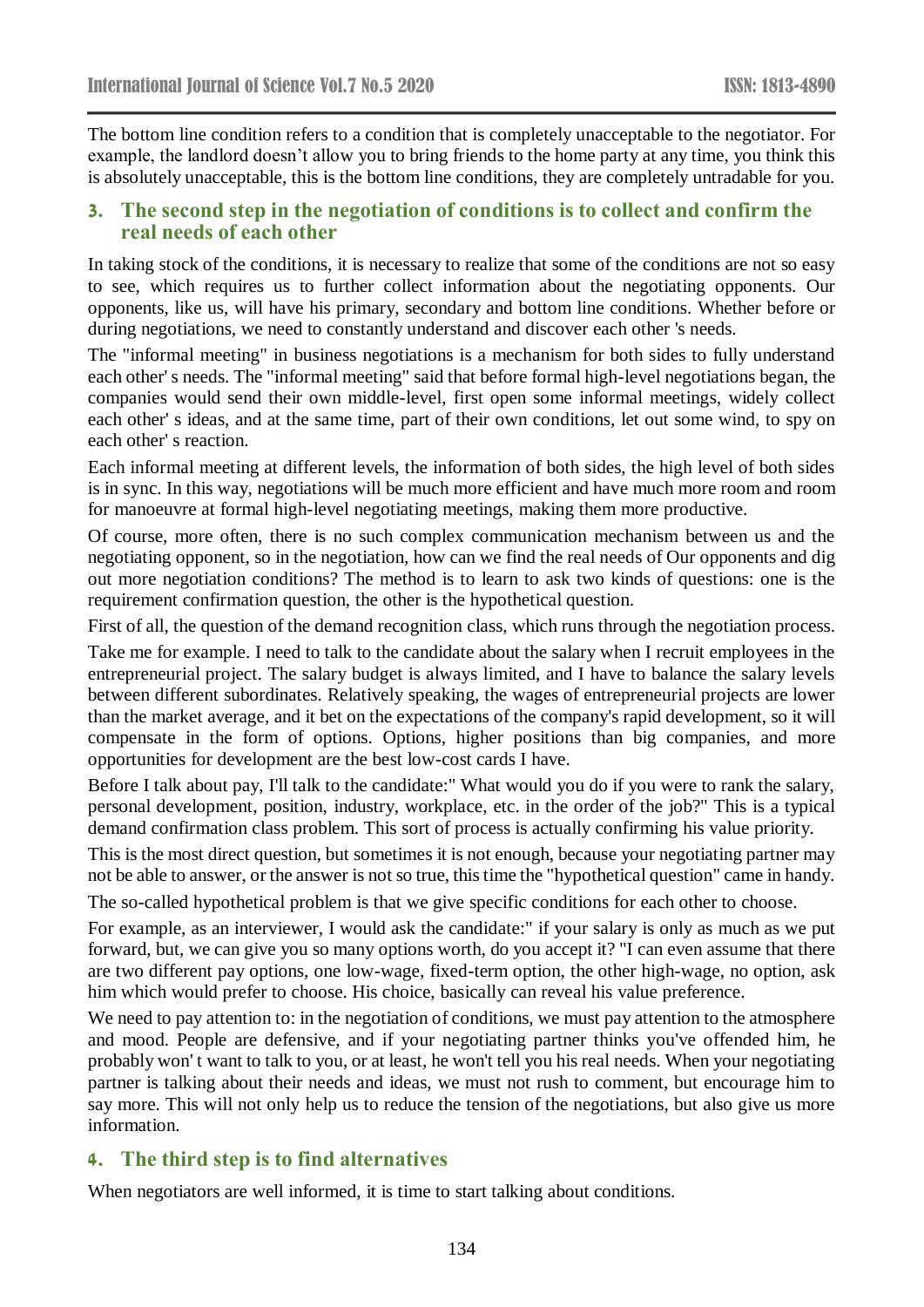The bottom line condition refers to a condition that is completely unacceptable to the negotiator. For example, the landlord doesn't allow you to bring friends to the home party at any time, you think this is absolutely unacceptable, this is the bottom line conditions, they are completely untradable for you.

#### **3. The second step in the negotiation of conditions is to collect and confirm the real needs of each other**

In taking stock of the conditions, it is necessary to realize that some of the conditions are not so easy to see, which requires us to further collect information about the negotiating opponents. Our opponents, like us, will have his primary, secondary and bottom line conditions. Whether before or during negotiations, we need to constantly understand and discover each other 's needs.

The "informal meeting" in business negotiations is a mechanism for both sides to fully understand each other' s needs. The "informal meeting" said that before formal high-level negotiations began, the companies would send their own middle-level, first open some informal meetings, widely collect each other' s ideas, and at the same time, part of their own conditions, let out some wind, to spy on each other' s reaction.

Each informal meeting at different levels, the information of both sides, the high level of both sides is in sync. In this way, negotiations will be much more efficient and have much more room and room for manoeuvre at formal high-level negotiating meetings, making them more productive.

Of course, more often, there is no such complex communication mechanism between us and the negotiating opponent, so in the negotiation, how can we find the real needs of Our opponents and dig out more negotiation conditions? The method is to learn to ask two kinds of questions: one is the requirement confirmation question, the other is the hypothetical question.

First of all, the question of the demand recognition class, which runs through the negotiation process.

Take me for example. I need to talk to the candidate about the salary when I recruit employees in the entrepreneurial project. The salary budget is always limited, and I have to balance the salary levels between different subordinates. Relatively speaking, the wages of entrepreneurial projects are lower than the market average, and it bet on the expectations of the company's rapid development, so it will compensate in the form of options. Options, higher positions than big companies, and more opportunities for development are the best low-cost cards I have.

Before I talk about pay, I'll talk to the candidate:" What would you do if you were to rank the salary, personal development, position, industry, workplace, etc. in the order of the job?" This is a typical demand confirmation class problem. This sort of process is actually confirming his value priority.

This is the most direct question, but sometimes it is not enough, because your negotiating partner may not be able to answer, or the answer is not so true, this time the "hypothetical question" came in handy.

The so-called hypothetical problem is that we give specific conditions for each other to choose.

For example, as an interviewer, I would ask the candidate:" if your salary is only as much as we put forward, but, we can give you so many options worth, do you accept it? "I can even assume that there are two different pay options, one low-wage, fixed-term option, the other high-wage, no option, ask him which would prefer to choose. His choice, basically can reveal his value preference.

We need to pay attention to: in the negotiation of conditions, we must pay attention to the atmosphere and mood. People are defensive, and if your negotiating partner thinks you've offended him, he probably won' t want to talk to you, or at least, he won't tell you his real needs. When your negotiating partner is talking about their needs and ideas, we must not rush to comment, but encourage him to say more. This will not only help us to reduce the tension of the negotiations, but also give us more information.

### **4. The third step is to find alternatives**

When negotiators are well informed, it is time to start talking about conditions.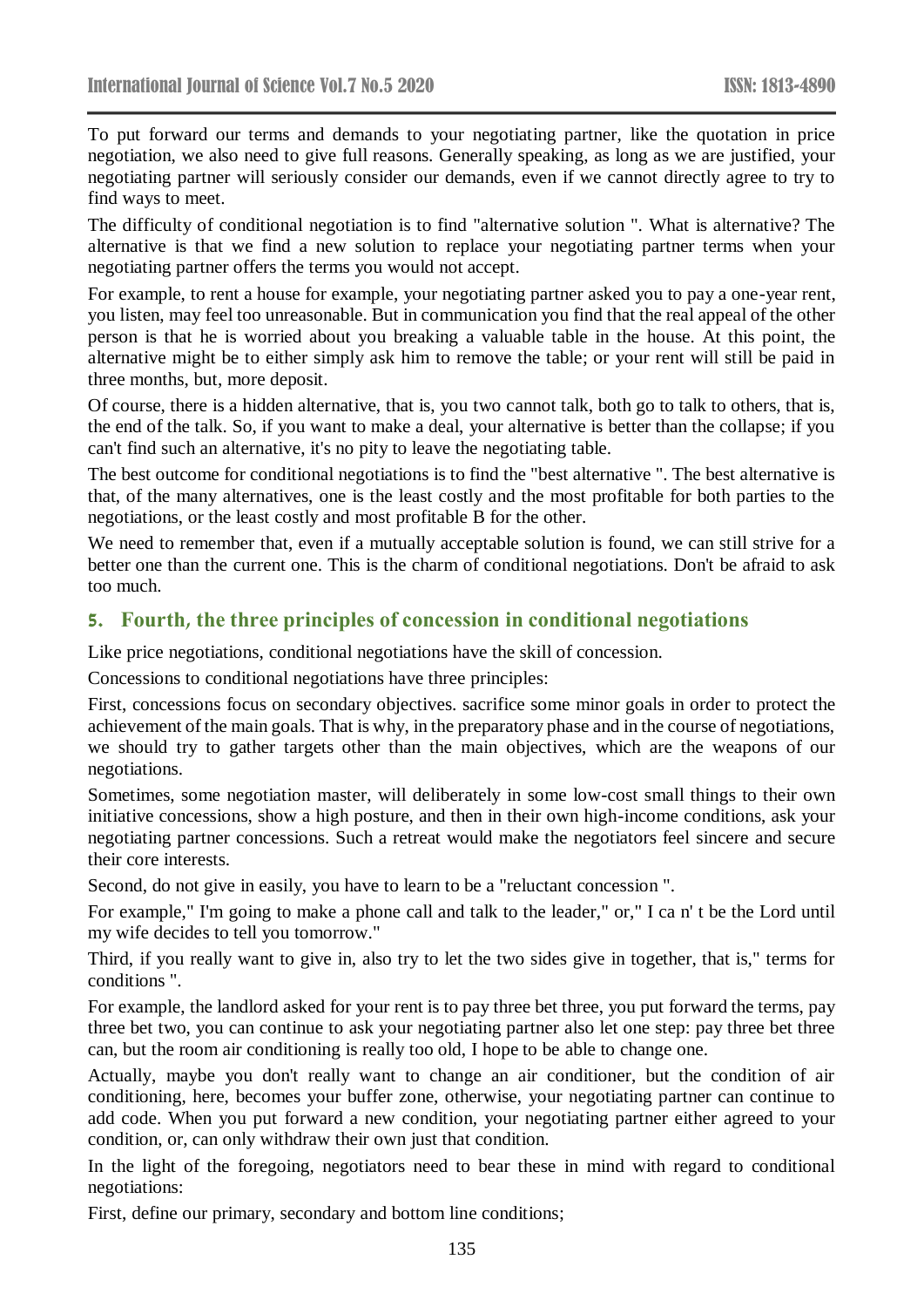To put forward our terms and demands to your negotiating partner, like the quotation in price negotiation, we also need to give full reasons. Generally speaking, as long as we are justified, your negotiating partner will seriously consider our demands, even if we cannot directly agree to try to find ways to meet.

The difficulty of conditional negotiation is to find "alternative solution ". What is alternative? The alternative is that we find a new solution to replace your negotiating partner terms when your negotiating partner offers the terms you would not accept.

For example, to rent a house for example, your negotiating partner asked you to pay a one-year rent, you listen, may feel too unreasonable. But in communication you find that the real appeal of the other person is that he is worried about you breaking a valuable table in the house. At this point, the alternative might be to either simply ask him to remove the table; or your rent will still be paid in three months, but, more deposit.

Of course, there is a hidden alternative, that is, you two cannot talk, both go to talk to others, that is, the end of the talk. So, if you want to make a deal, your alternative is better than the collapse; if you can't find such an alternative, it's no pity to leave the negotiating table.

The best outcome for conditional negotiations is to find the "best alternative ". The best alternative is that, of the many alternatives, one is the least costly and the most profitable for both parties to the negotiations, or the least costly and most profitable B for the other.

We need to remember that, even if a mutually acceptable solution is found, we can still strive for a better one than the current one. This is the charm of conditional negotiations. Don't be afraid to ask too much.

## **5. Fourth, the three principles of concession in conditional negotiations**

Like price negotiations, conditional negotiations have the skill of concession.

Concessions to conditional negotiations have three principles:

First, concessions focus on secondary objectives. sacrifice some minor goals in order to protect the achievement of the main goals. That is why, in the preparatory phase and in the course of negotiations, we should try to gather targets other than the main objectives, which are the weapons of our negotiations.

Sometimes, some negotiation master, will deliberately in some low-cost small things to their own initiative concessions, show a high posture, and then in their own high-income conditions, ask your negotiating partner concessions. Such a retreat would make the negotiators feel sincere and secure their core interests.

Second, do not give in easily, you have to learn to be a "reluctant concession ".

For example," I'm going to make a phone call and talk to the leader," or," I ca n' t be the Lord until my wife decides to tell you tomorrow."

Third, if you really want to give in, also try to let the two sides give in together, that is," terms for conditions ".

For example, the landlord asked for your rent is to pay three bet three, you put forward the terms, pay three bet two, you can continue to ask your negotiating partner also let one step: pay three bet three can, but the room air conditioning is really too old, I hope to be able to change one.

Actually, maybe you don't really want to change an air conditioner, but the condition of air conditioning, here, becomes your buffer zone, otherwise, your negotiating partner can continue to add code. When you put forward a new condition, your negotiating partner either agreed to your condition, or, can only withdraw their own just that condition.

In the light of the foregoing, negotiators need to bear these in mind with regard to conditional negotiations:

First, define our primary, secondary and bottom line conditions;